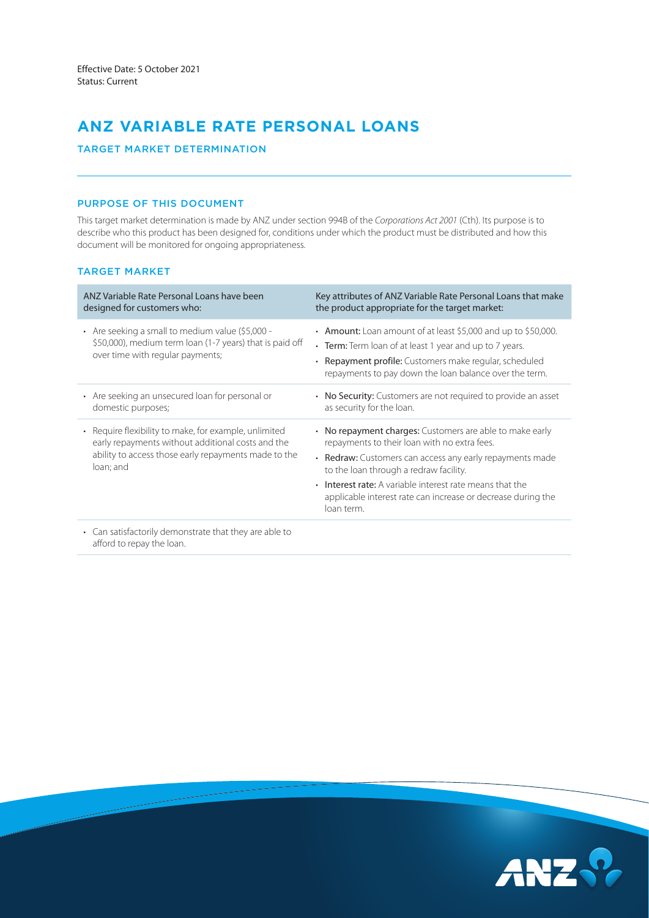# **ANZ VARIABLE RATE PERSONAL LOANS**

# TARGET MARKET DETERMINATION

# PURPOSE OF THIS DOCUMENT

This target market determination is made by ANZ under section 994B of the *Corporations Act 2001* (Cth). Its purpose is to describe who this product has been designed for, conditions under which the product must be distributed and how this document will be monitored for ongoing appropriateness.

### TARGET MARKET

| ANZ Variable Rate Personal Loans have been<br>designed for customers who:                                                                                                                  | Key attributes of ANZ Variable Rate Personal Loans that make<br>the product appropriate for the target market:                                                                                                                                                                                                                                           |
|--------------------------------------------------------------------------------------------------------------------------------------------------------------------------------------------|----------------------------------------------------------------------------------------------------------------------------------------------------------------------------------------------------------------------------------------------------------------------------------------------------------------------------------------------------------|
| • Are seeking a small to medium value $(55,000 -$<br>\$50,000), medium term loan (1-7 years) that is paid off<br>over time with regular payments;                                          | • Amount: Loan amount of at least \$5,000 and up to \$50,000.<br>• Term: Term loan of at least 1 year and up to 7 years.<br>• Repayment profile: Customers make regular, scheduled<br>repayments to pay down the loan balance over the term.                                                                                                             |
| • Are seeking an unsecured loan for personal or<br>domestic purposes;                                                                                                                      | • No Security: Customers are not required to provide an asset<br>as security for the loan.                                                                                                                                                                                                                                                               |
| Require flexibility to make, for example, unlimited<br>$\bullet$<br>early repayments without additional costs and the<br>ability to access those early repayments made to the<br>loan; and | • No repayment charges: Customers are able to make early<br>repayments to their loan with no extra fees.<br>• Redraw: Customers can access any early repayments made<br>to the loan through a redraw facility.<br>• Interest rate: A variable interest rate means that the<br>applicable interest rate can increase or decrease during the<br>loan term. |
| • Can satisfactorily demonstrate that they are able to                                                                                                                                     |                                                                                                                                                                                                                                                                                                                                                          |

afford to repay the loan.

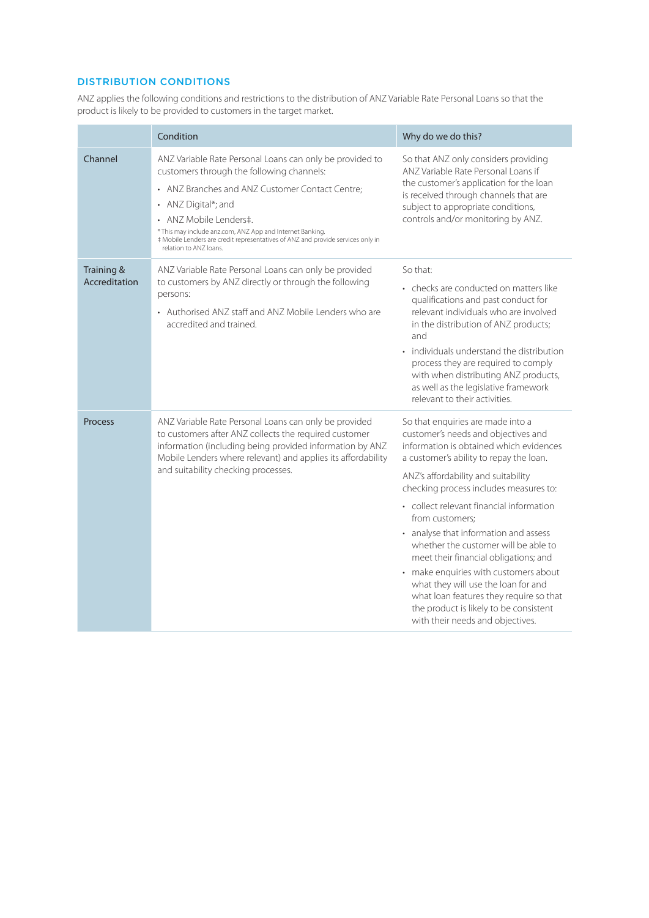# DISTRIBUTION CONDITIONS

ANZ applies the following conditions and restrictions to the distribution of ANZ Variable Rate Personal Loans so that the product is likely to be provided to customers in the target market.

|                             | Condition                                                                                                                                                                                                                                                                                                                                                                           | Why do we do this?                                                                                                                                                                                                                                                                                                                                                                                                                                                                                                                                                                                                                                |  |
|-----------------------------|-------------------------------------------------------------------------------------------------------------------------------------------------------------------------------------------------------------------------------------------------------------------------------------------------------------------------------------------------------------------------------------|---------------------------------------------------------------------------------------------------------------------------------------------------------------------------------------------------------------------------------------------------------------------------------------------------------------------------------------------------------------------------------------------------------------------------------------------------------------------------------------------------------------------------------------------------------------------------------------------------------------------------------------------------|--|
| Channel                     | ANZ Variable Rate Personal Loans can only be provided to<br>customers through the following channels:<br>• ANZ Branches and ANZ Customer Contact Centre;<br>• ANZ Digital*; and<br>• ANZ Mobile Lenders‡.<br>* This may include anz.com, ANZ App and Internet Banking.<br># Mobile Lenders are credit representatives of ANZ and provide services only in<br>relation to ANZ loans. | So that ANZ only considers providing<br>ANZ Variable Rate Personal Loans if<br>the customer's application for the loan<br>is received through channels that are<br>subject to appropriate conditions,<br>controls and/or monitoring by ANZ.                                                                                                                                                                                                                                                                                                                                                                                                       |  |
| Training &<br>Accreditation | ANZ Variable Rate Personal Loans can only be provided<br>to customers by ANZ directly or through the following<br>persons:<br>• Authorised ANZ staff and ANZ Mobile Lenders who are<br>accredited and trained.                                                                                                                                                                      | So that:<br>• checks are conducted on matters like<br>qualifications and past conduct for<br>relevant individuals who are involved<br>in the distribution of ANZ products;<br>and<br>• individuals understand the distribution<br>process they are required to comply<br>with when distributing ANZ products,<br>as well as the legislative framework<br>relevant to their activities                                                                                                                                                                                                                                                             |  |
| <b>Process</b>              | ANZ Variable Rate Personal Loans can only be provided<br>to customers after ANZ collects the required customer<br>information (including being provided information by ANZ<br>Mobile Lenders where relevant) and applies its affordability<br>and suitability checking processes.                                                                                                   | So that enquiries are made into a<br>customer's needs and objectives and<br>information is obtained which evidences<br>a customer's ability to repay the loan.<br>ANZ's affordability and suitability<br>checking process includes measures to:<br>• collect relevant financial information<br>from customers;<br>• analyse that information and assess<br>whether the customer will be able to<br>meet their financial obligations; and<br>• make enquiries with customers about<br>what they will use the loan for and<br>what loan features they require so that<br>the product is likely to be consistent<br>with their needs and objectives. |  |